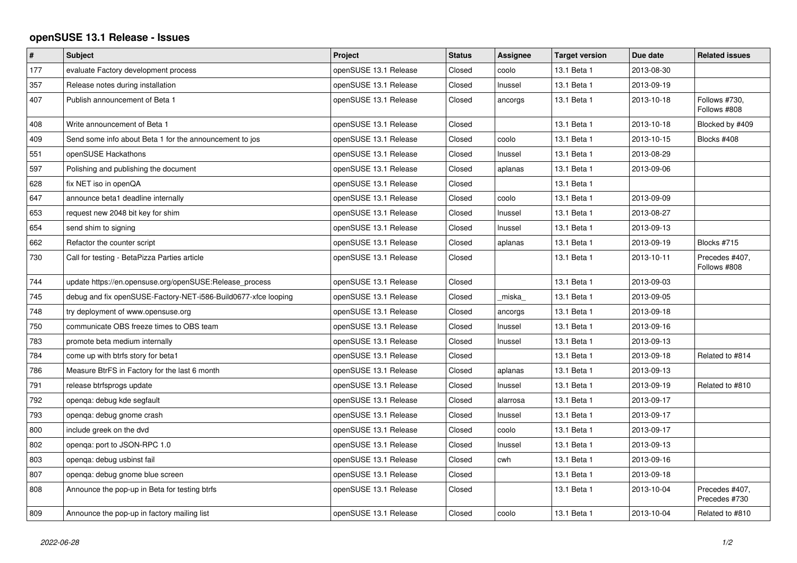## **openSUSE 13.1 Release - Issues**

| $\vert$ # | <b>Subject</b>                                                 | Project               | <b>Status</b> | Assignee | <b>Target version</b> | Due date   | <b>Related issues</b>           |
|-----------|----------------------------------------------------------------|-----------------------|---------------|----------|-----------------------|------------|---------------------------------|
| 177       | evaluate Factory development process                           | openSUSE 13.1 Release | Closed        | coolo    | 13.1 Beta 1           | 2013-08-30 |                                 |
| 357       | Release notes during installation                              | openSUSE 13.1 Release | Closed        | Inussel  | 13.1 Beta 1           | 2013-09-19 |                                 |
| 407       | Publish announcement of Beta 1                                 | openSUSE 13.1 Release | Closed        | ancorgs  | 13.1 Beta 1           | 2013-10-18 | Follows #730,<br>Follows #808   |
| 408       | Write announcement of Beta 1                                   | openSUSE 13.1 Release | Closed        |          | 13.1 Beta 1           | 2013-10-18 | Blocked by #409                 |
| 409       | Send some info about Beta 1 for the announcement to jos        | openSUSE 13.1 Release | Closed        | coolo    | 13.1 Beta 1           | 2013-10-15 | Blocks #408                     |
| 551       | openSUSE Hackathons                                            | openSUSE 13.1 Release | Closed        | Inussel  | 13.1 Beta 1           | 2013-08-29 |                                 |
| 597       | Polishing and publishing the document                          | openSUSE 13.1 Release | Closed        | aplanas  | 13.1 Beta 1           | 2013-09-06 |                                 |
| 628       | fix NET iso in openQA                                          | openSUSE 13.1 Release | Closed        |          | 13.1 Beta 1           |            |                                 |
| 647       | announce beta1 deadline internally                             | openSUSE 13.1 Release | Closed        | coolo    | 13.1 Beta 1           | 2013-09-09 |                                 |
| 653       | request new 2048 bit key for shim                              | openSUSE 13.1 Release | Closed        | Inussel  | 13.1 Beta 1           | 2013-08-27 |                                 |
| 654       | send shim to signing                                           | openSUSE 13.1 Release | Closed        | Inussel  | 13.1 Beta 1           | 2013-09-13 |                                 |
| 662       | Refactor the counter script                                    | openSUSE 13.1 Release | Closed        | aplanas  | 13.1 Beta 1           | 2013-09-19 | Blocks #715                     |
| 730       | Call for testing - BetaPizza Parties article                   | openSUSE 13.1 Release | Closed        |          | 13.1 Beta 1           | 2013-10-11 | Precedes #407,<br>Follows #808  |
| 744       | update https://en.opensuse.org/openSUSE:Release_process        | openSUSE 13.1 Release | Closed        |          | 13.1 Beta 1           | 2013-09-03 |                                 |
| 745       | debug and fix openSUSE-Factory-NET-i586-Build0677-xfce looping | openSUSE 13.1 Release | Closed        | _miska_  | 13.1 Beta 1           | 2013-09-05 |                                 |
| 748       | try deployment of www.opensuse.org                             | openSUSE 13.1 Release | Closed        | ancorgs  | 13.1 Beta 1           | 2013-09-18 |                                 |
| 750       | communicate OBS freeze times to OBS team                       | openSUSE 13.1 Release | Closed        | Inussel  | 13.1 Beta 1           | 2013-09-16 |                                 |
| 783       | promote beta medium internally                                 | openSUSE 13.1 Release | Closed        | Inussel  | 13.1 Beta 1           | 2013-09-13 |                                 |
| 784       | come up with btrfs story for beta1                             | openSUSE 13.1 Release | Closed        |          | 13.1 Beta 1           | 2013-09-18 | Related to #814                 |
| 786       | Measure BtrFS in Factory for the last 6 month                  | openSUSE 13.1 Release | Closed        | aplanas  | 13.1 Beta 1           | 2013-09-13 |                                 |
| 791       | release btrfsprogs update                                      | openSUSE 13.1 Release | Closed        | Inussel  | 13.1 Beta 1           | 2013-09-19 | Related to #810                 |
| 792       | openqa: debug kde segfault                                     | openSUSE 13.1 Release | Closed        | alarrosa | 13.1 Beta 1           | 2013-09-17 |                                 |
| 793       | openga: debug gnome crash                                      | openSUSE 13.1 Release | Closed        | Inussel  | 13.1 Beta 1           | 2013-09-17 |                                 |
| 800       | include greek on the dvd                                       | openSUSE 13.1 Release | Closed        | coolo    | 13.1 Beta 1           | 2013-09-17 |                                 |
| 802       | openga: port to JSON-RPC 1.0                                   | openSUSE 13.1 Release | Closed        | Inussel  | 13.1 Beta 1           | 2013-09-13 |                                 |
| 803       | openga: debug usbinst fail                                     | openSUSE 13.1 Release | Closed        | cwh      | 13.1 Beta 1           | 2013-09-16 |                                 |
| 807       | openga: debug gnome blue screen                                | openSUSE 13.1 Release | Closed        |          | 13.1 Beta 1           | 2013-09-18 |                                 |
| 808       | Announce the pop-up in Beta for testing btrfs                  | openSUSE 13.1 Release | Closed        |          | 13.1 Beta 1           | 2013-10-04 | Precedes #407,<br>Precedes #730 |
| 809       | Announce the pop-up in factory mailing list                    | openSUSE 13.1 Release | Closed        | coolo    | 13.1 Beta 1           | 2013-10-04 | Related to #810                 |